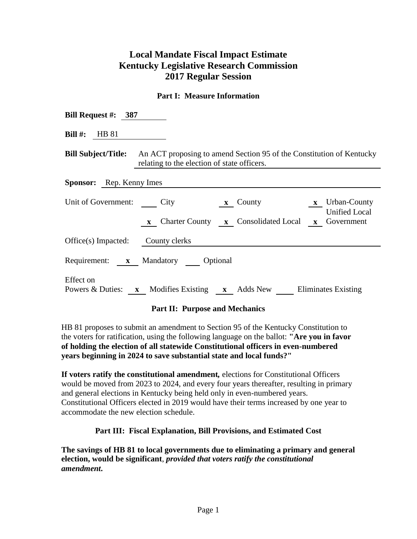# **Local Mandate Fiscal Impact Estimate Kentucky Legislative Research Commission 2017 Regular Session**

## **Part I: Measure Information**

| Bill Request #: $387$                    |                                                                                                                                                 |  |  |  |  |
|------------------------------------------|-------------------------------------------------------------------------------------------------------------------------------------------------|--|--|--|--|
| <b>Bill #:</b> HB 81                     |                                                                                                                                                 |  |  |  |  |
|                                          | <b>Bill Subject/Title:</b> An ACT proposing to amend Section 95 of the Constitution of Kentucky<br>relating to the election of state officers.  |  |  |  |  |
| <b>Sponsor:</b> Rep. Kenny Imes          |                                                                                                                                                 |  |  |  |  |
| Unit of Government: City                 | <b>x</b> Urban-County<br>$\mathbf{x}$ County<br><b>Unified Local</b><br><b>x</b> Charter County <b>x</b> Consolidated Local <b>x</b> Government |  |  |  |  |
| Office(s) Impacted: County clerks        |                                                                                                                                                 |  |  |  |  |
| Requirement: <b>x</b> Mandatory Optional |                                                                                                                                                 |  |  |  |  |
| Effect on                                | Powers & Duties: x Modifies Existing x Adds New Eliminates Existing                                                                             |  |  |  |  |

#### **Part II: Purpose and Mechanics**

HB 81 proposes to submit an amendment to Section 95 of the Kentucky Constitution to the voters for ratification, using the following language on the ballot: **"Are you in favor of holding the election of all statewide Constitutional officers in even-numbered years beginning in 2024 to save substantial state and local funds?"**

**If voters ratify the constitutional amendment***,* elections for Constitutional Officers would be moved from 2023 to 2024, and every four years thereafter, resulting in primary and general elections in Kentucky being held only in even-numbered years. Constitutional Officers elected in 2019 would have their terms increased by one year to accommodate the new election schedule.

#### **Part III: Fiscal Explanation, Bill Provisions, and Estimated Cost**

**The savings of HB 81 to local governments due to eliminating a primary and general election, would be significant**, *provided that voters ratify the constitutional amendment***.**